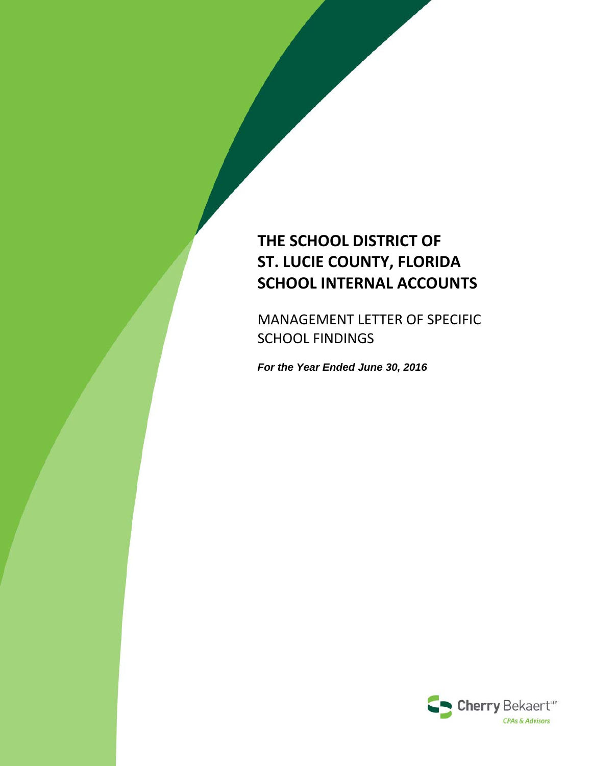# **THE SCHOOL DISTRICT OF ST. LUCIE COUNTY, FLORIDA SCHOOL INTERNAL ACCOUNTS**

MANAGEMENT LETTER OF SPECIFIC SCHOOL FINDINGS

*For the Year Ended June 30, 2016*

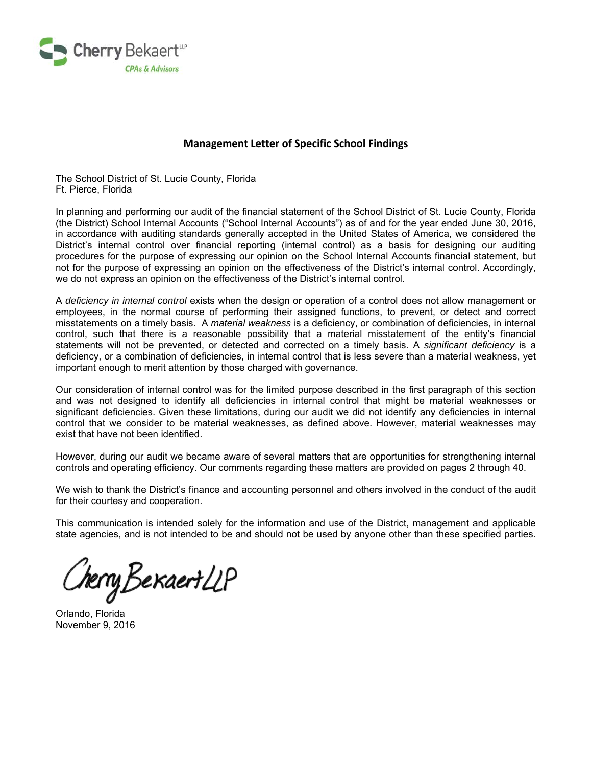

# **Management Letter of Specific School Findings**

The School District of St. Lucie County, Florida Ft. Pierce, Florida

In planning and performing our audit of the financial statement of the School District of St. Lucie County, Florida (the District) School Internal Accounts ("School Internal Accounts") as of and for the year ended June 30, 2016, in accordance with auditing standards generally accepted in the United States of America, we considered the District's internal control over financial reporting (internal control) as a basis for designing our auditing procedures for the purpose of expressing our opinion on the School Internal Accounts financial statement, but not for the purpose of expressing an opinion on the effectiveness of the District's internal control. Accordingly, we do not express an opinion on the effectiveness of the District's internal control.

A *deficiency in internal control* exists when the design or operation of a control does not allow management or employees, in the normal course of performing their assigned functions, to prevent, or detect and correct misstatements on a timely basis. A *material weakness* is a deficiency, or combination of deficiencies, in internal control, such that there is a reasonable possibility that a material misstatement of the entity's financial statements will not be prevented, or detected and corrected on a timely basis. A *significant deficiency* is a deficiency, or a combination of deficiencies, in internal control that is less severe than a material weakness, yet important enough to merit attention by those charged with governance.

Our consideration of internal control was for the limited purpose described in the first paragraph of this section and was not designed to identify all deficiencies in internal control that might be material weaknesses or significant deficiencies. Given these limitations, during our audit we did not identify any deficiencies in internal control that we consider to be material weaknesses, as defined above. However, material weaknesses may exist that have not been identified.

However, during our audit we became aware of several matters that are opportunities for strengthening internal controls and operating efficiency. Our comments regarding these matters are provided on pages 2 through 40.

We wish to thank the District's finance and accounting personnel and others involved in the conduct of the audit for their courtesy and cooperation.

This communication is intended solely for the information and use of the District, management and applicable state agencies, and is not intended to be and should not be used by anyone other than these specified parties.

CherryBekaertLLP

Orlando, Florida November 9, 2016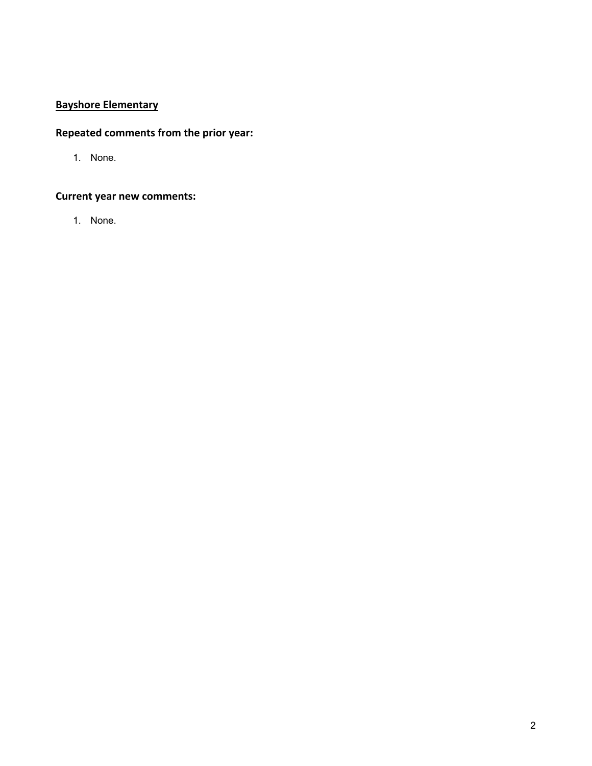# **Bayshore Elementary**

# **Repeated comments from the prior year:**

1. None.

# **Current year new comments:**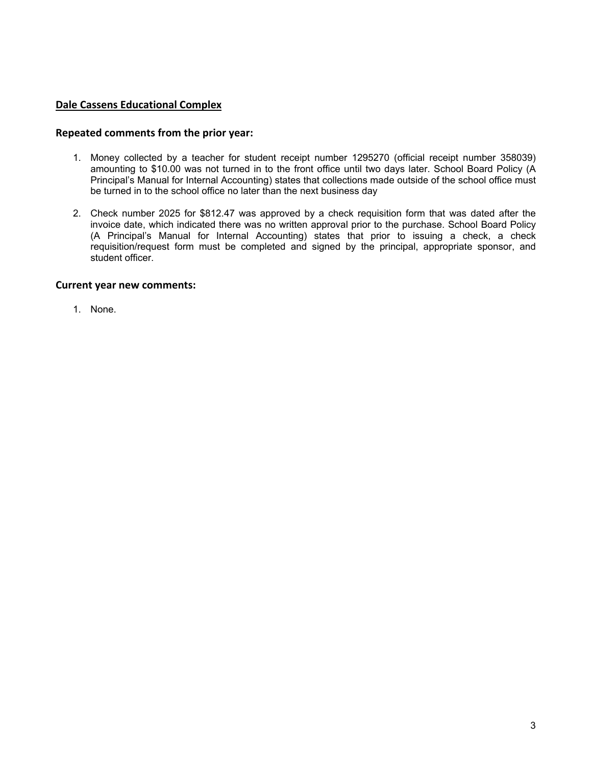# **Dale Cassens Educational Complex**

### **Repeated comments from the prior year:**

- 1. Money collected by a teacher for student receipt number 1295270 (official receipt number 358039) amounting to \$10.00 was not turned in to the front office until two days later. School Board Policy (A Principal's Manual for Internal Accounting) states that collections made outside of the school office must be turned in to the school office no later than the next business day
- 2. Check number 2025 for \$812.47 was approved by a check requisition form that was dated after the invoice date, which indicated there was no written approval prior to the purchase. School Board Policy (A Principal's Manual for Internal Accounting) states that prior to issuing a check, a check requisition/request form must be completed and signed by the principal, appropriate sponsor, and student officer.

### **Current year new comments:**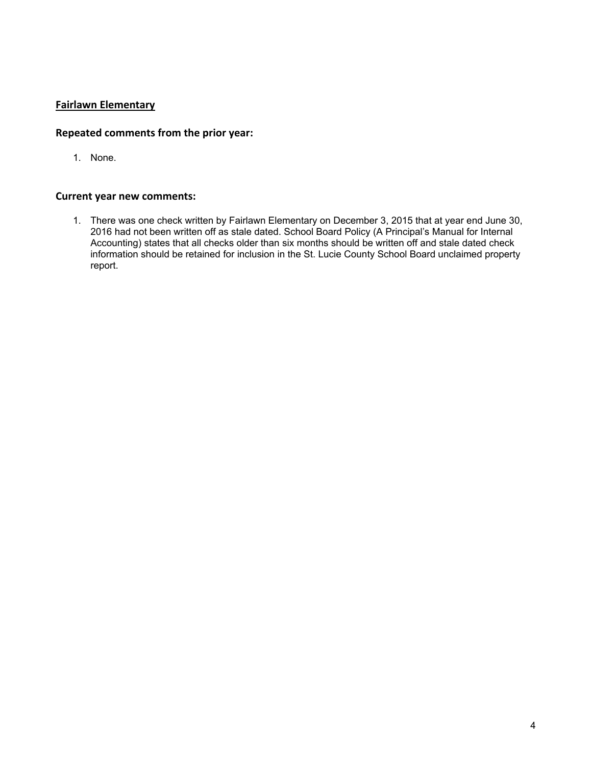# **Fairlawn Elementary**

# **Repeated comments from the prior year:**

1. None.

#### **Current year new comments:**

1. There was one check written by Fairlawn Elementary on December 3, 2015 that at year end June 30, 2016 had not been written off as stale dated. School Board Policy (A Principal's Manual for Internal Accounting) states that all checks older than six months should be written off and stale dated check information should be retained for inclusion in the St. Lucie County School Board unclaimed property report.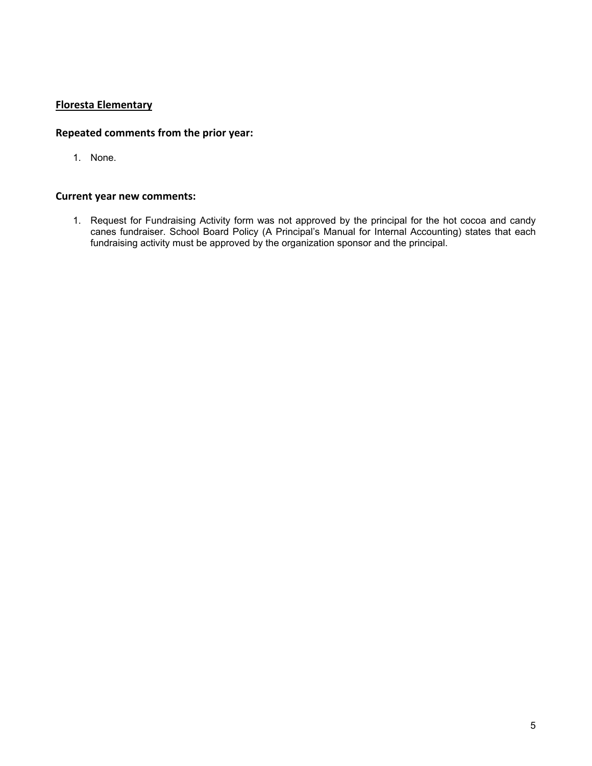# **Floresta Elementary**

# **Repeated comments from the prior year:**

1. None.

#### **Current year new comments:**

1. Request for Fundraising Activity form was not approved by the principal for the hot cocoa and candy canes fundraiser. School Board Policy (A Principal's Manual for Internal Accounting) states that each fundraising activity must be approved by the organization sponsor and the principal.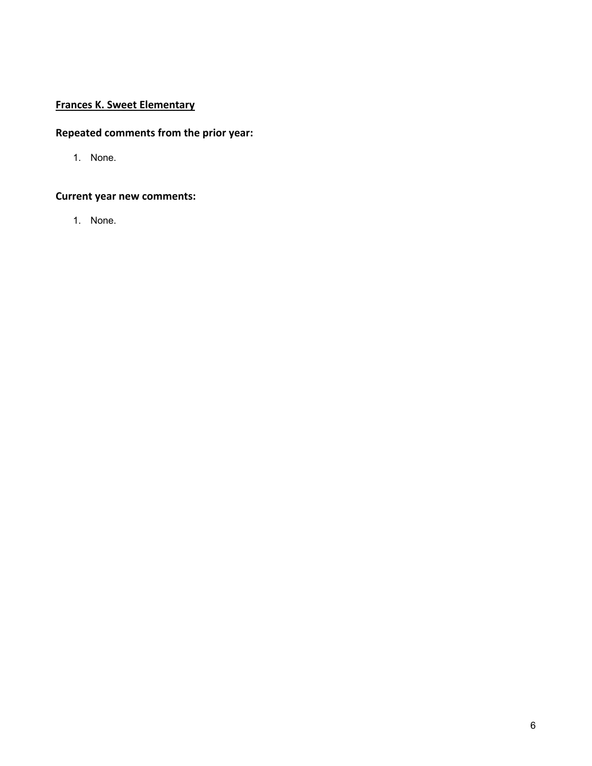# **Frances K. Sweet Elementary**

# **Repeated comments from the prior year:**

1. None.

# **Current year new comments:**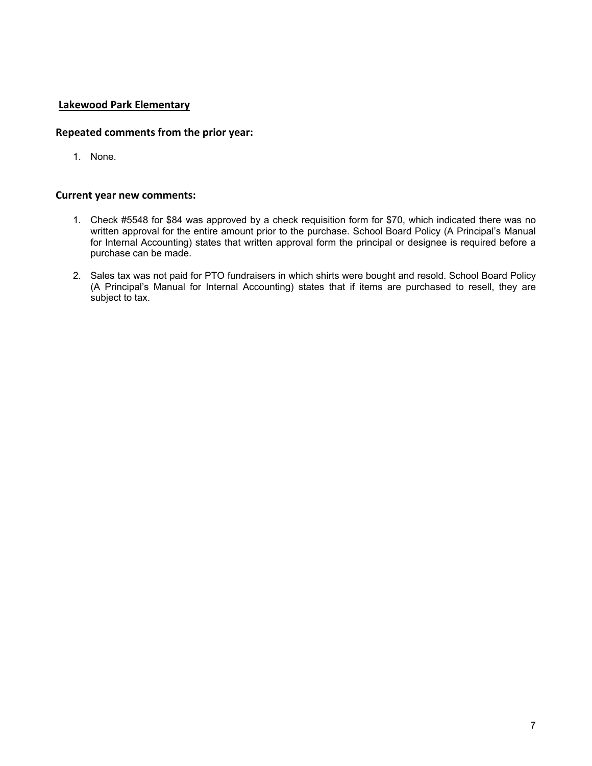# **Lakewood Park Elementary**

### **Repeated comments from the prior year:**

1. None.

- 1. Check #5548 for \$84 was approved by a check requisition form for \$70, which indicated there was no written approval for the entire amount prior to the purchase. School Board Policy (A Principal's Manual for Internal Accounting) states that written approval form the principal or designee is required before a purchase can be made.
- 2. Sales tax was not paid for PTO fundraisers in which shirts were bought and resold. School Board Policy (A Principal's Manual for Internal Accounting) states that if items are purchased to resell, they are subject to tax.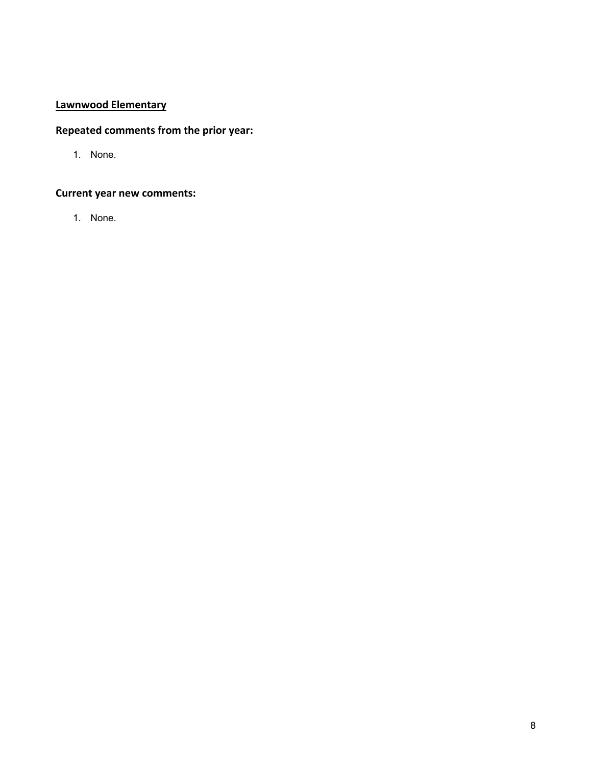# **Lawnwood Elementary**

# **Repeated comments from the prior year:**

1. None.

# **Current year new comments:**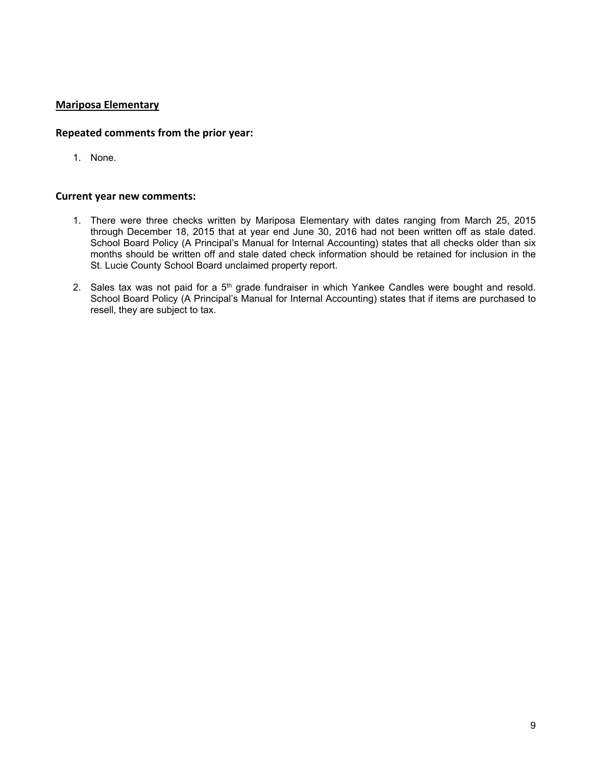# **Mariposa Elementary**

### **Repeated comments from the prior year:**

1. None.

- 1. There were three checks written by Mariposa Elementary with dates ranging from March 25, 2015 through December 18, 2015 that at year end June 30, 2016 had not been written off as stale dated. School Board Policy (A Principal's Manual for Internal Accounting) states that all checks older than six months should be written off and stale dated check information should be retained for inclusion in the St. Lucie County School Board unclaimed property report.
- 2. Sales tax was not paid for a 5<sup>th</sup> grade fundraiser in which Yankee Candles were bought and resold. School Board Policy (A Principal's Manual for Internal Accounting) states that if items are purchased to resell, they are subject to tax.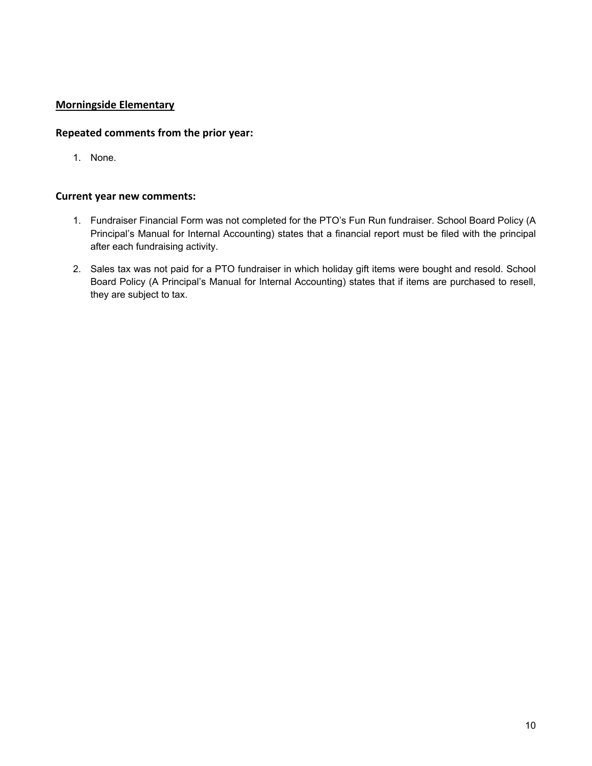# **Morningside Elementary**

# **Repeated comments from the prior year:**

1. None.

- 1. Fundraiser Financial Form was not completed for the PTO's Fun Run fundraiser. School Board Policy (A Principal's Manual for Internal Accounting) states that a financial report must be filed with the principal after each fundraising activity.
- 2. Sales tax was not paid for a PTO fundraiser in which holiday gift items were bought and resold. School Board Policy (A Principal's Manual for Internal Accounting) states that if items are purchased to resell, they are subject to tax.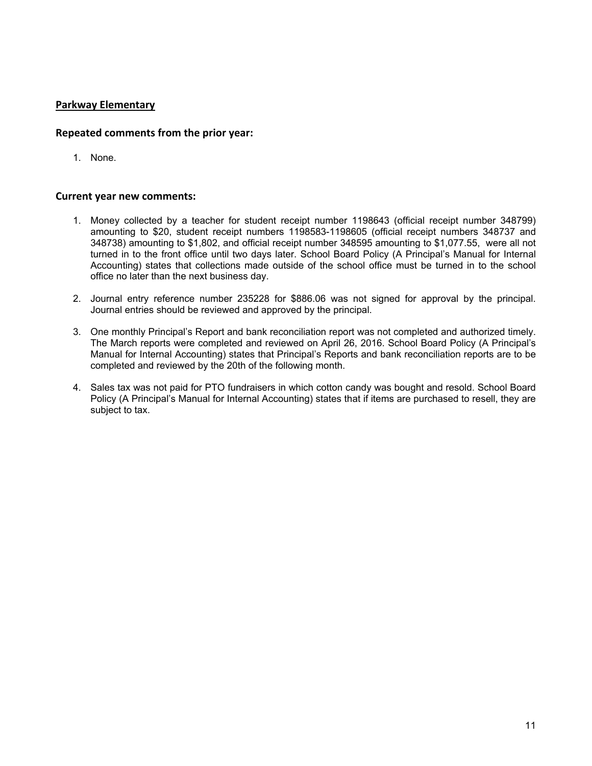# **Parkway Elementary**

### **Repeated comments from the prior year:**

1. None.

- 1. Money collected by a teacher for student receipt number 1198643 (official receipt number 348799) amounting to \$20, student receipt numbers 1198583-1198605 (official receipt numbers 348737 and 348738) amounting to \$1,802, and official receipt number 348595 amounting to \$1,077.55, were all not turned in to the front office until two days later. School Board Policy (A Principal's Manual for Internal Accounting) states that collections made outside of the school office must be turned in to the school office no later than the next business day.
- 2. Journal entry reference number 235228 for \$886.06 was not signed for approval by the principal. Journal entries should be reviewed and approved by the principal.
- 3. One monthly Principal's Report and bank reconciliation report was not completed and authorized timely. The March reports were completed and reviewed on April 26, 2016. School Board Policy (A Principal's Manual for Internal Accounting) states that Principal's Reports and bank reconciliation reports are to be completed and reviewed by the 20th of the following month.
- 4. Sales tax was not paid for PTO fundraisers in which cotton candy was bought and resold. School Board Policy (A Principal's Manual for Internal Accounting) states that if items are purchased to resell, they are subject to tax.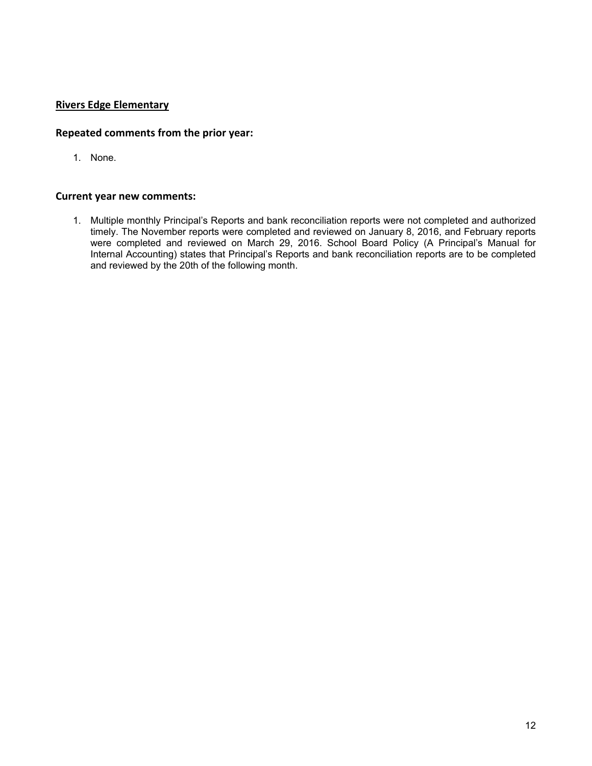# **Rivers Edge Elementary**

# **Repeated comments from the prior year:**

1. None.

#### **Current year new comments:**

1. Multiple monthly Principal's Reports and bank reconciliation reports were not completed and authorized timely. The November reports were completed and reviewed on January 8, 2016, and February reports were completed and reviewed on March 29, 2016. School Board Policy (A Principal's Manual for Internal Accounting) states that Principal's Reports and bank reconciliation reports are to be completed and reviewed by the 20th of the following month.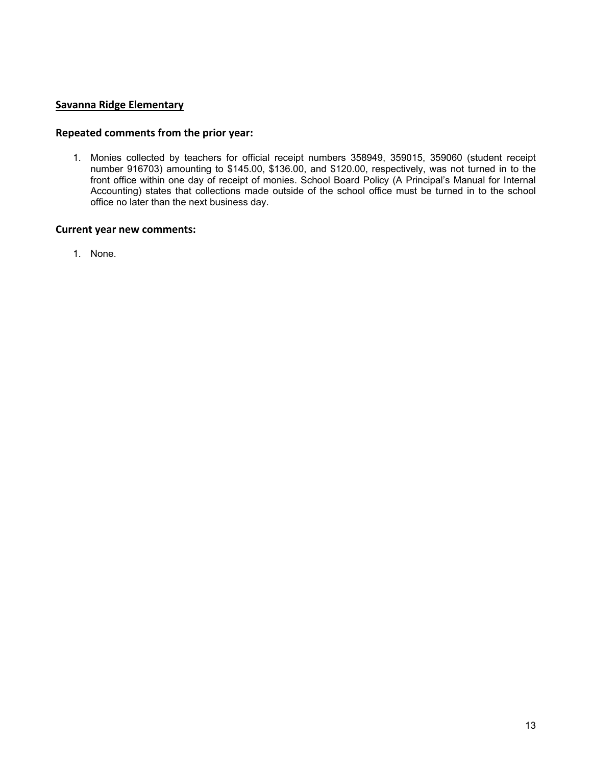# **Savanna Ridge Elementary**

### **Repeated comments from the prior year:**

1. Monies collected by teachers for official receipt numbers 358949, 359015, 359060 (student receipt number 916703) amounting to \$145.00, \$136.00, and \$120.00, respectively, was not turned in to the front office within one day of receipt of monies. School Board Policy (A Principal's Manual for Internal Accounting) states that collections made outside of the school office must be turned in to the school office no later than the next business day.

#### **Current year new comments:**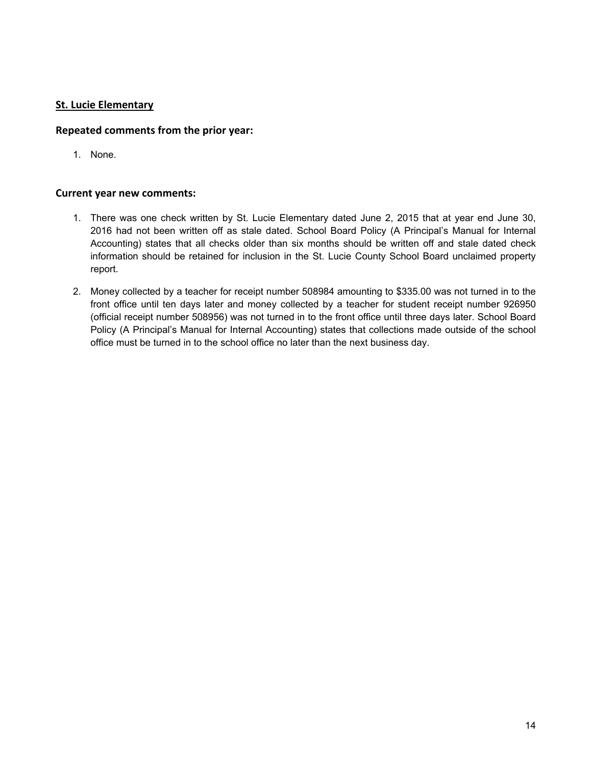# **St. Lucie Elementary**

# **Repeated comments from the prior year:**

1. None.

- 1. There was one check written by St. Lucie Elementary dated June 2, 2015 that at year end June 30, 2016 had not been written off as stale dated. School Board Policy (A Principal's Manual for Internal Accounting) states that all checks older than six months should be written off and stale dated check information should be retained for inclusion in the St. Lucie County School Board unclaimed property report.
- 2. Money collected by a teacher for receipt number 508984 amounting to \$335.00 was not turned in to the front office until ten days later and money collected by a teacher for student receipt number 926950 (official receipt number 508956) was not turned in to the front office until three days later. School Board Policy (A Principal's Manual for Internal Accounting) states that collections made outside of the school office must be turned in to the school office no later than the next business day.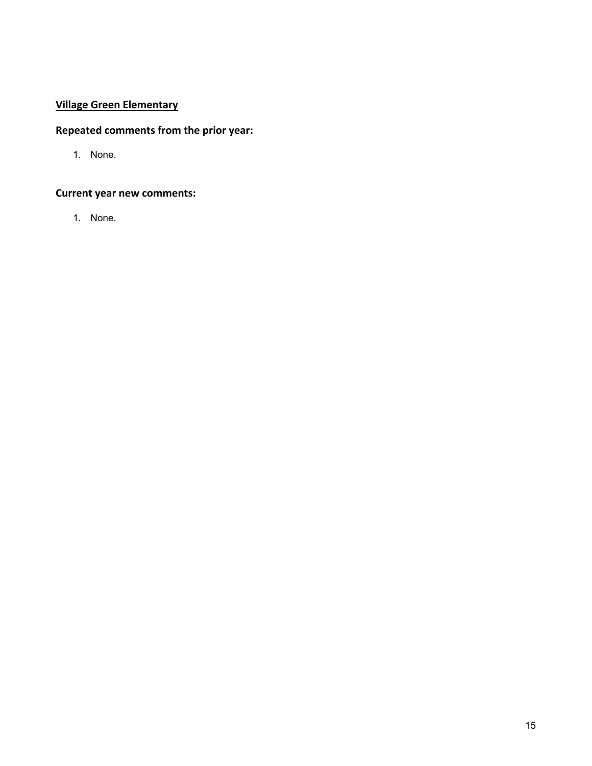# **Village Green Elementary**

# **Repeated comments from the prior year:**

1. None.

# **Current year new comments:**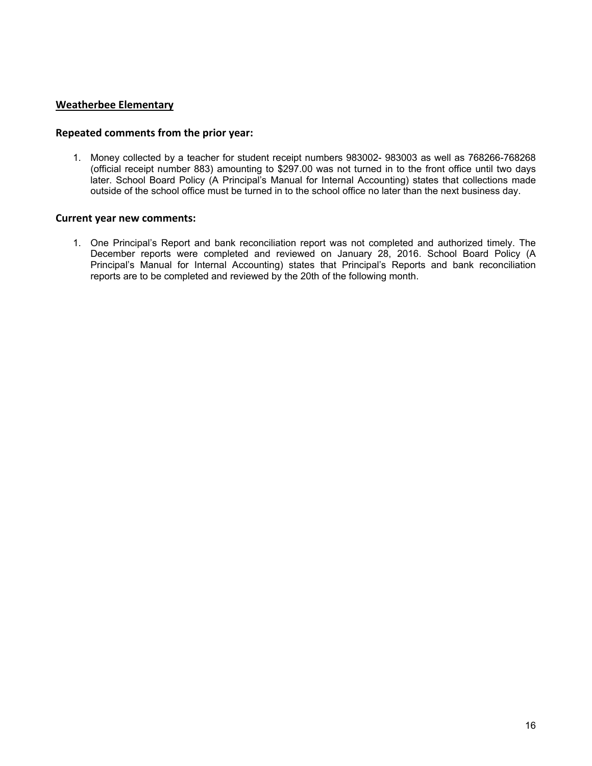# **Weatherbee Elementary**

### **Repeated comments from the prior year:**

1. Money collected by a teacher for student receipt numbers 983002- 983003 as well as 768266-768268 (official receipt number 883) amounting to \$297.00 was not turned in to the front office until two days later. School Board Policy (A Principal's Manual for Internal Accounting) states that collections made outside of the school office must be turned in to the school office no later than the next business day.

### **Current year new comments:**

1. One Principal's Report and bank reconciliation report was not completed and authorized timely. The December reports were completed and reviewed on January 28, 2016. School Board Policy (A Principal's Manual for Internal Accounting) states that Principal's Reports and bank reconciliation reports are to be completed and reviewed by the 20th of the following month.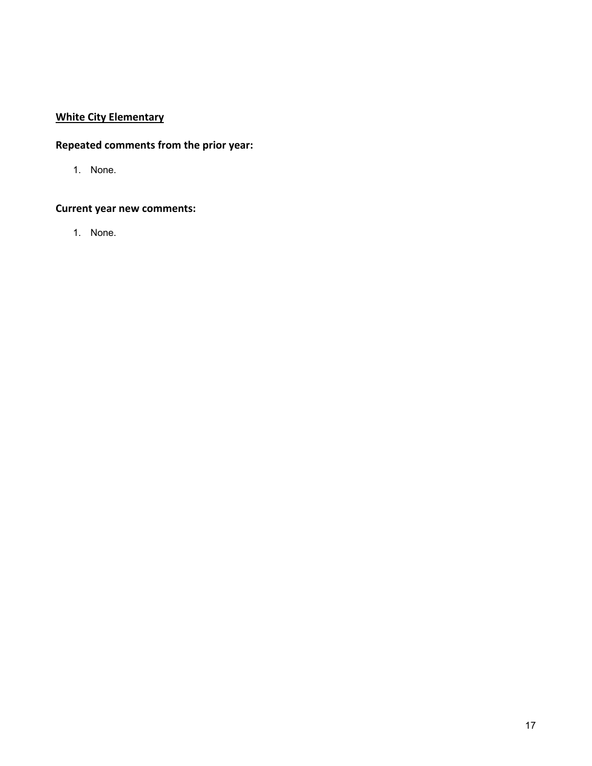# **White City Elementary**

# **Repeated comments from the prior year:**

1. None.

# **Current year new comments:**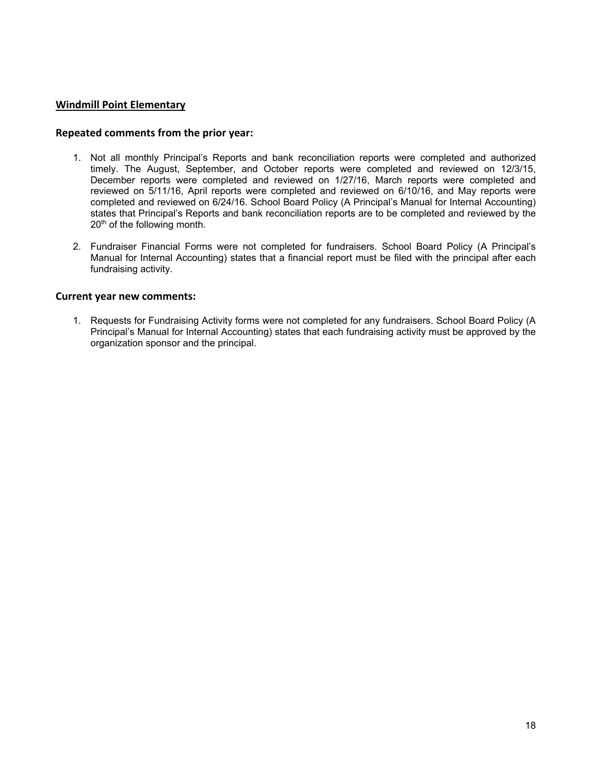### **Windmill Point Elementary**

#### **Repeated comments from the prior year:**

- 1. Not all monthly Principal's Reports and bank reconciliation reports were completed and authorized timely. The August, September, and October reports were completed and reviewed on 12/3/15, December reports were completed and reviewed on 1/27/16, March reports were completed and reviewed on 5/11/16, April reports were completed and reviewed on 6/10/16, and May reports were completed and reviewed on 6/24/16. School Board Policy (A Principal's Manual for Internal Accounting) states that Principal's Reports and bank reconciliation reports are to be completed and reviewed by the 20<sup>th</sup> of the following month.
- 2. Fundraiser Financial Forms were not completed for fundraisers. School Board Policy (A Principal's Manual for Internal Accounting) states that a financial report must be filed with the principal after each fundraising activity.

#### **Current year new comments:**

1. Requests for Fundraising Activity forms were not completed for any fundraisers. School Board Policy (A Principal's Manual for Internal Accounting) states that each fundraising activity must be approved by the organization sponsor and the principal.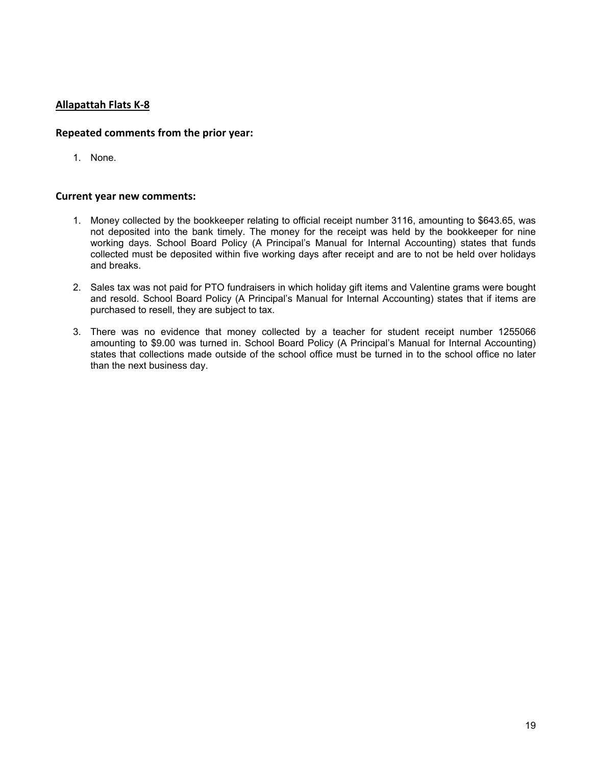# **Allapattah Flats K‐8**

### **Repeated comments from the prior year:**

1. None.

- 1. Money collected by the bookkeeper relating to official receipt number 3116, amounting to \$643.65, was not deposited into the bank timely. The money for the receipt was held by the bookkeeper for nine working days. School Board Policy (A Principal's Manual for Internal Accounting) states that funds collected must be deposited within five working days after receipt and are to not be held over holidays and breaks.
- 2. Sales tax was not paid for PTO fundraisers in which holiday gift items and Valentine grams were bought and resold. School Board Policy (A Principal's Manual for Internal Accounting) states that if items are purchased to resell, they are subject to tax.
- 3. There was no evidence that money collected by a teacher for student receipt number 1255066 amounting to \$9.00 was turned in. School Board Policy (A Principal's Manual for Internal Accounting) states that collections made outside of the school office must be turned in to the school office no later than the next business day.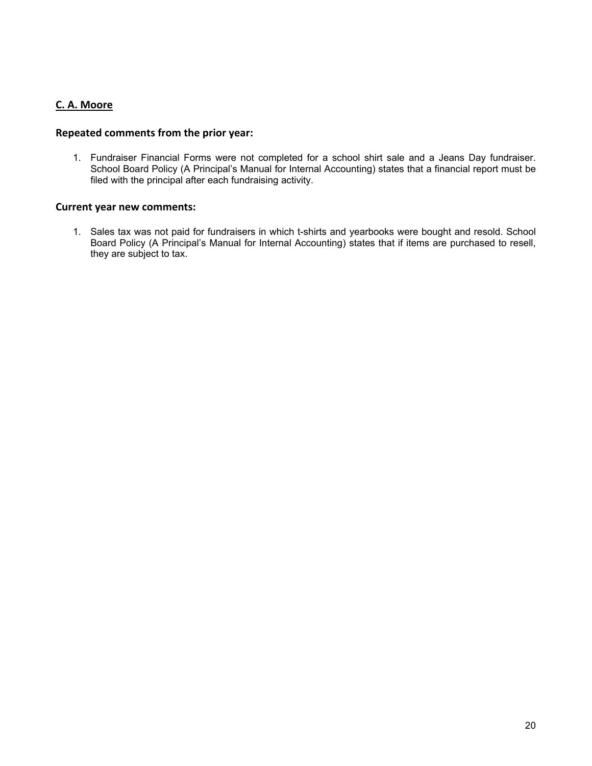# **C. A. Moore**

### **Repeated comments from the prior year:**

1. Fundraiser Financial Forms were not completed for a school shirt sale and a Jeans Day fundraiser. School Board Policy (A Principal's Manual for Internal Accounting) states that a financial report must be filed with the principal after each fundraising activity.

#### **Current year new comments:**

1. Sales tax was not paid for fundraisers in which t-shirts and yearbooks were bought and resold. School Board Policy (A Principal's Manual for Internal Accounting) states that if items are purchased to resell, they are subject to tax.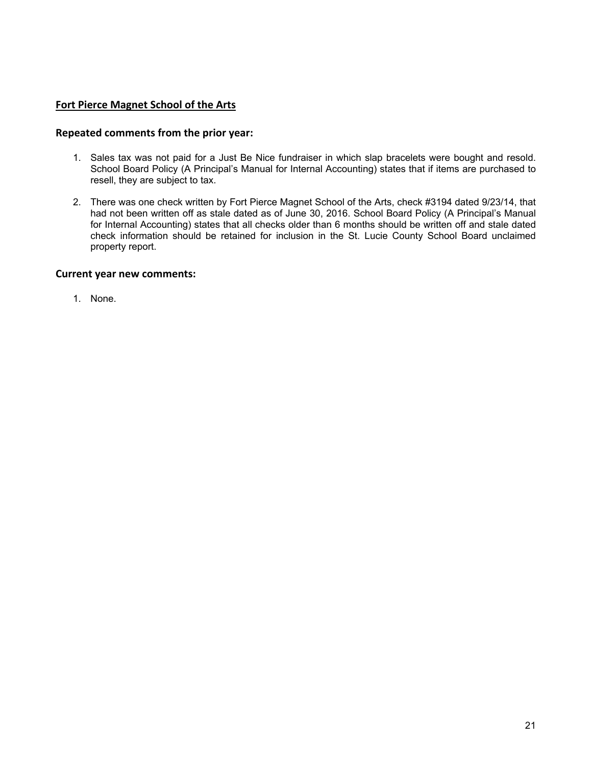# **Fort Pierce Magnet School of the Arts**

### **Repeated comments from the prior year:**

- 1. Sales tax was not paid for a Just Be Nice fundraiser in which slap bracelets were bought and resold. School Board Policy (A Principal's Manual for Internal Accounting) states that if items are purchased to resell, they are subject to tax.
- 2. There was one check written by Fort Pierce Magnet School of the Arts, check #3194 dated 9/23/14, that had not been written off as stale dated as of June 30, 2016. School Board Policy (A Principal's Manual for Internal Accounting) states that all checks older than 6 months should be written off and stale dated check information should be retained for inclusion in the St. Lucie County School Board unclaimed property report.

#### **Current year new comments:**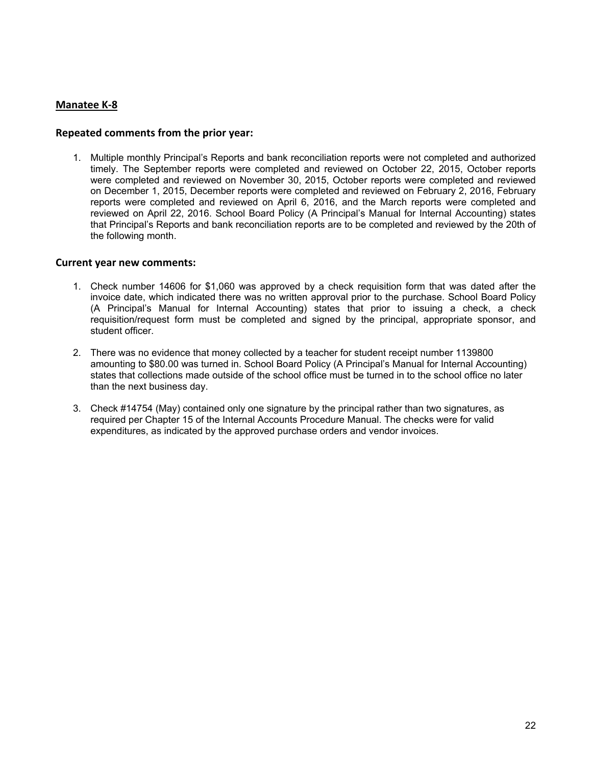# **Manatee K‐8**

### **Repeated comments from the prior year:**

1. Multiple monthly Principal's Reports and bank reconciliation reports were not completed and authorized timely. The September reports were completed and reviewed on October 22, 2015, October reports were completed and reviewed on November 30, 2015, October reports were completed and reviewed on December 1, 2015, December reports were completed and reviewed on February 2, 2016, February reports were completed and reviewed on April 6, 2016, and the March reports were completed and reviewed on April 22, 2016. School Board Policy (A Principal's Manual for Internal Accounting) states that Principal's Reports and bank reconciliation reports are to be completed and reviewed by the 20th of the following month.

- 1. Check number 14606 for \$1,060 was approved by a check requisition form that was dated after the invoice date, which indicated there was no written approval prior to the purchase. School Board Policy (A Principal's Manual for Internal Accounting) states that prior to issuing a check, a check requisition/request form must be completed and signed by the principal, appropriate sponsor, and student officer.
- 2. There was no evidence that money collected by a teacher for student receipt number 1139800 amounting to \$80.00 was turned in. School Board Policy (A Principal's Manual for Internal Accounting) states that collections made outside of the school office must be turned in to the school office no later than the next business day.
- 3. Check #14754 (May) contained only one signature by the principal rather than two signatures, as required per Chapter 15 of the Internal Accounts Procedure Manual. The checks were for valid expenditures, as indicated by the approved purchase orders and vendor invoices.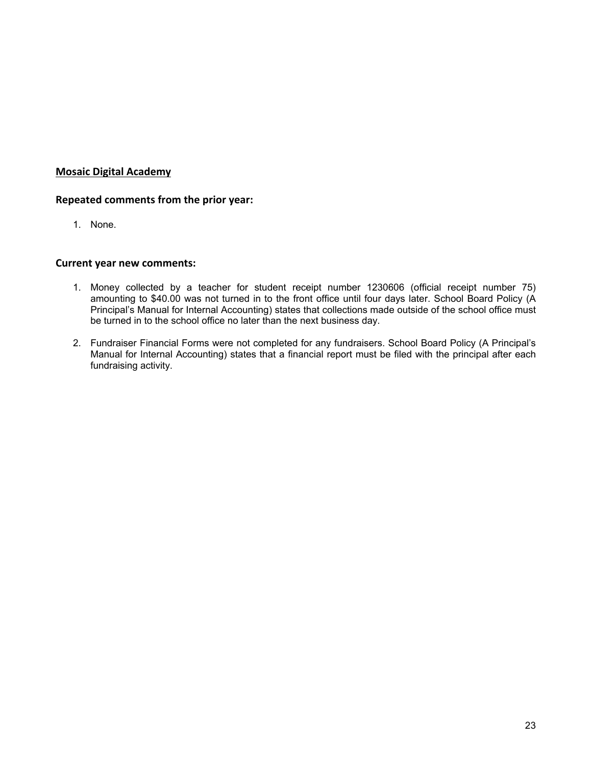# **Mosaic Digital Academy**

# **Repeated comments from the prior year:**

1. None.

- 1. Money collected by a teacher for student receipt number 1230606 (official receipt number 75) amounting to \$40.00 was not turned in to the front office until four days later. School Board Policy (A Principal's Manual for Internal Accounting) states that collections made outside of the school office must be turned in to the school office no later than the next business day.
- 2. Fundraiser Financial Forms were not completed for any fundraisers. School Board Policy (A Principal's Manual for Internal Accounting) states that a financial report must be filed with the principal after each fundraising activity.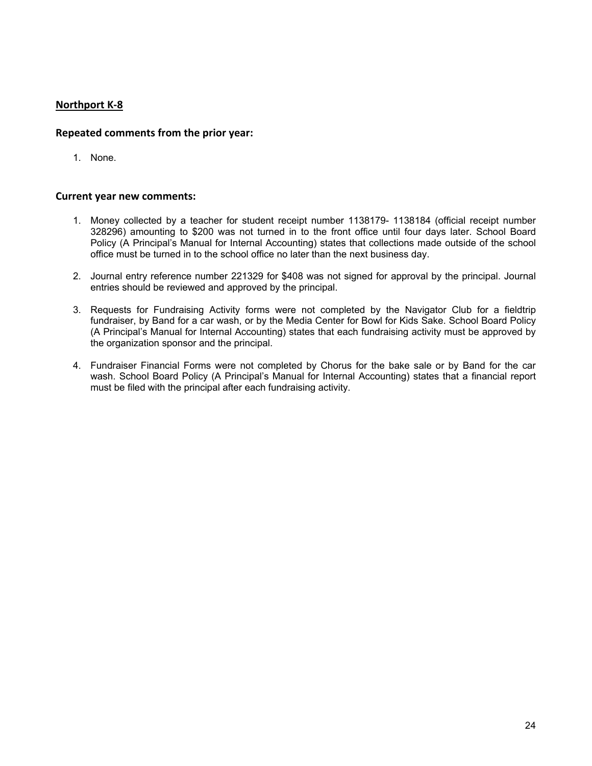# **Northport K‐8**

# **Repeated comments from the prior year:**

1. None.

- 1. Money collected by a teacher for student receipt number 1138179- 1138184 (official receipt number 328296) amounting to \$200 was not turned in to the front office until four days later. School Board Policy (A Principal's Manual for Internal Accounting) states that collections made outside of the school office must be turned in to the school office no later than the next business day.
- 2. Journal entry reference number 221329 for \$408 was not signed for approval by the principal. Journal entries should be reviewed and approved by the principal.
- 3. Requests for Fundraising Activity forms were not completed by the Navigator Club for a fieldtrip fundraiser, by Band for a car wash, or by the Media Center for Bowl for Kids Sake. School Board Policy (A Principal's Manual for Internal Accounting) states that each fundraising activity must be approved by the organization sponsor and the principal.
- 4. Fundraiser Financial Forms were not completed by Chorus for the bake sale or by Band for the car wash. School Board Policy (A Principal's Manual for Internal Accounting) states that a financial report must be filed with the principal after each fundraising activity.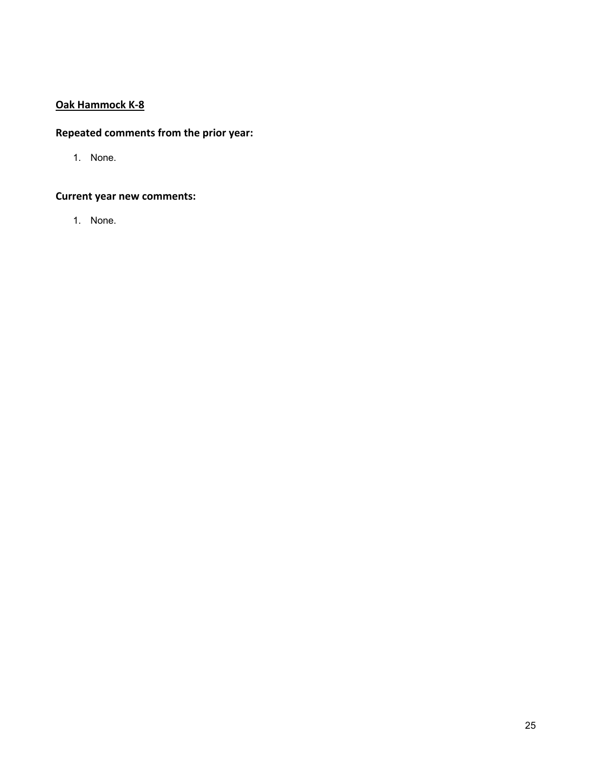# **Oak Hammock K‐8**

# **Repeated comments from the prior year:**

1. None.

# **Current year new comments:**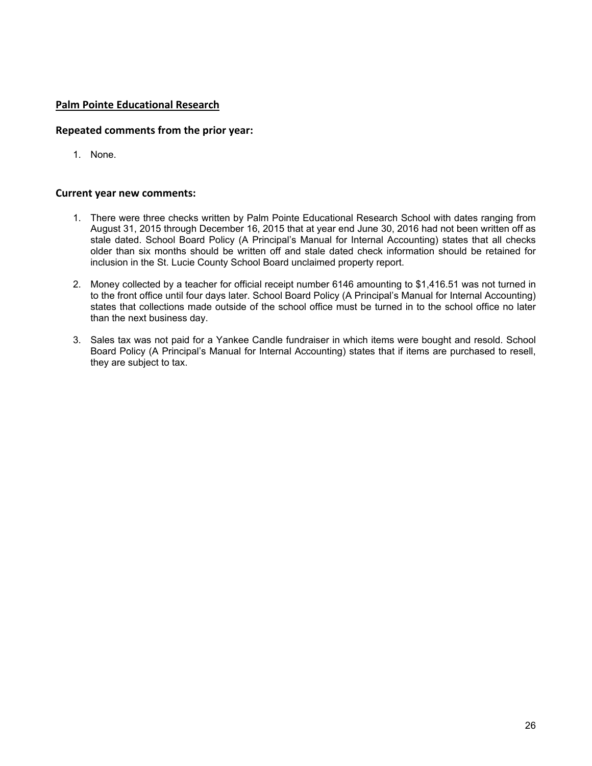### **Palm Pointe Educational Research**

### **Repeated comments from the prior year:**

1. None.

- 1. There were three checks written by Palm Pointe Educational Research School with dates ranging from August 31, 2015 through December 16, 2015 that at year end June 30, 2016 had not been written off as stale dated. School Board Policy (A Principal's Manual for Internal Accounting) states that all checks older than six months should be written off and stale dated check information should be retained for inclusion in the St. Lucie County School Board unclaimed property report.
- 2. Money collected by a teacher for official receipt number 6146 amounting to \$1,416.51 was not turned in to the front office until four days later. School Board Policy (A Principal's Manual for Internal Accounting) states that collections made outside of the school office must be turned in to the school office no later than the next business day.
- 3. Sales tax was not paid for a Yankee Candle fundraiser in which items were bought and resold. School Board Policy (A Principal's Manual for Internal Accounting) states that if items are purchased to resell, they are subject to tax.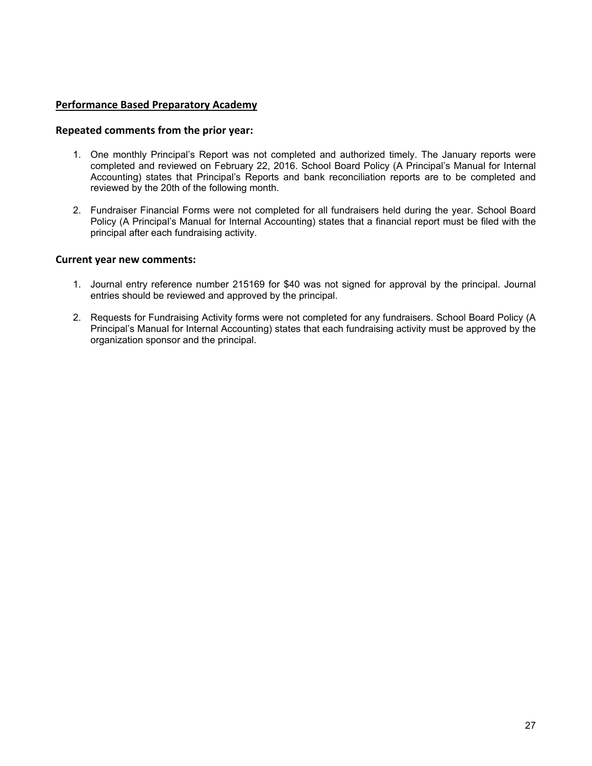### **Performance Based Preparatory Academy**

#### **Repeated comments from the prior year:**

- 1. One monthly Principal's Report was not completed and authorized timely. The January reports were completed and reviewed on February 22, 2016. School Board Policy (A Principal's Manual for Internal Accounting) states that Principal's Reports and bank reconciliation reports are to be completed and reviewed by the 20th of the following month.
- 2. Fundraiser Financial Forms were not completed for all fundraisers held during the year. School Board Policy (A Principal's Manual for Internal Accounting) states that a financial report must be filed with the principal after each fundraising activity.

- 1. Journal entry reference number 215169 for \$40 was not signed for approval by the principal. Journal entries should be reviewed and approved by the principal.
- 2. Requests for Fundraising Activity forms were not completed for any fundraisers. School Board Policy (A Principal's Manual for Internal Accounting) states that each fundraising activity must be approved by the organization sponsor and the principal.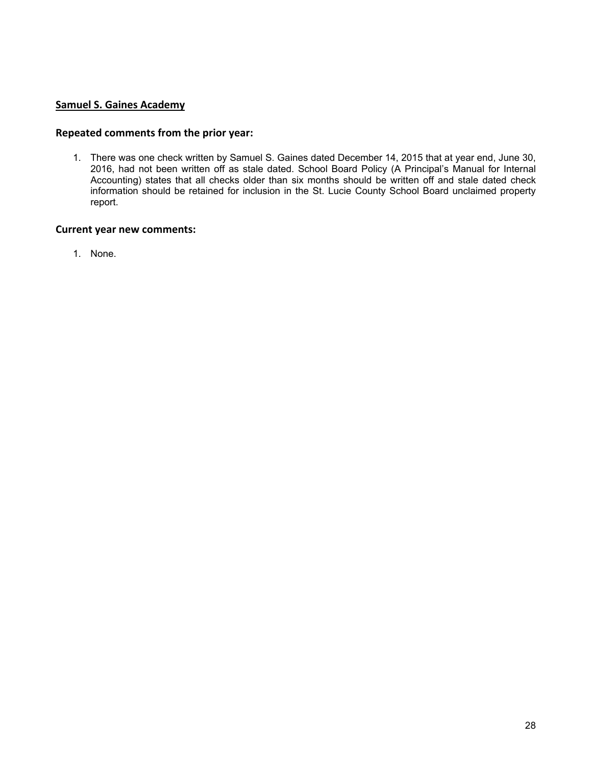# **Samuel S. Gaines Academy**

### **Repeated comments from the prior year:**

1. There was one check written by Samuel S. Gaines dated December 14, 2015 that at year end, June 30, 2016, had not been written off as stale dated. School Board Policy (A Principal's Manual for Internal Accounting) states that all checks older than six months should be written off and stale dated check information should be retained for inclusion in the St. Lucie County School Board unclaimed property report.

### **Current year new comments:**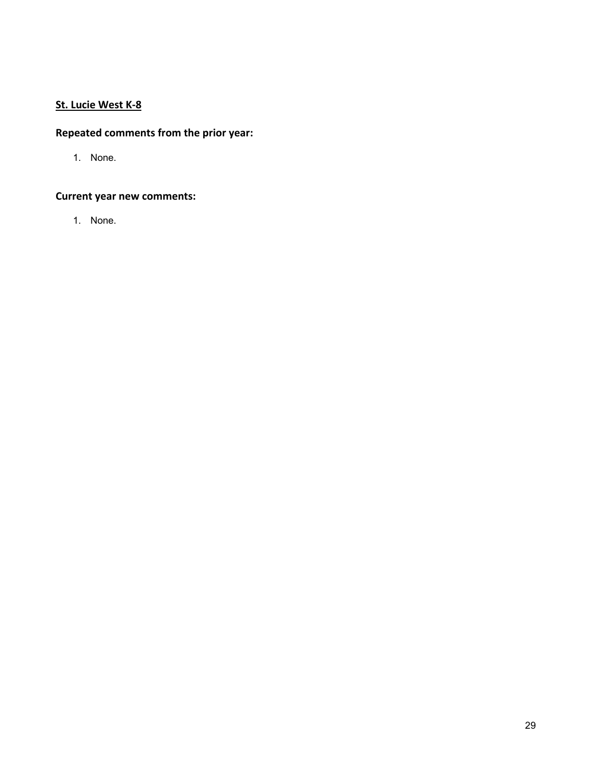# **St. Lucie West K‐8**

# **Repeated comments from the prior year:**

1. None.

# **Current year new comments:**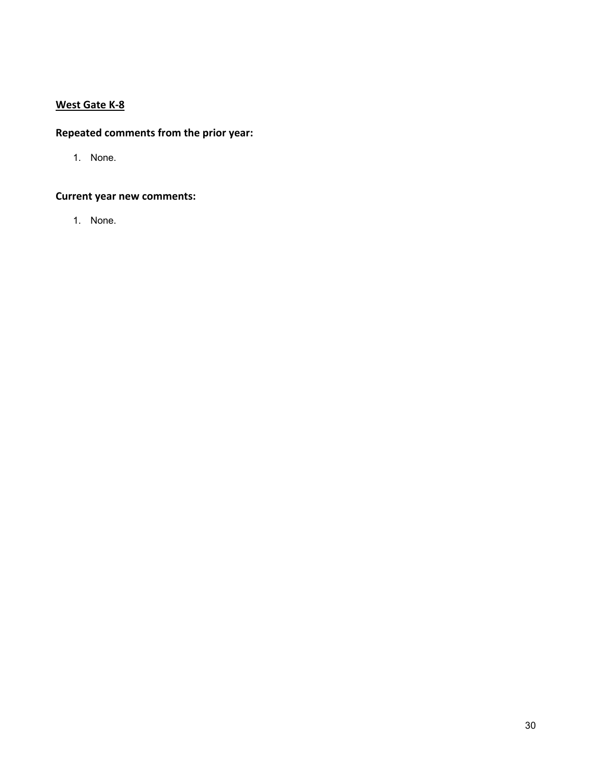# **West Gate K‐8**

# **Repeated comments from the prior year:**

1. None.

# **Current year new comments:**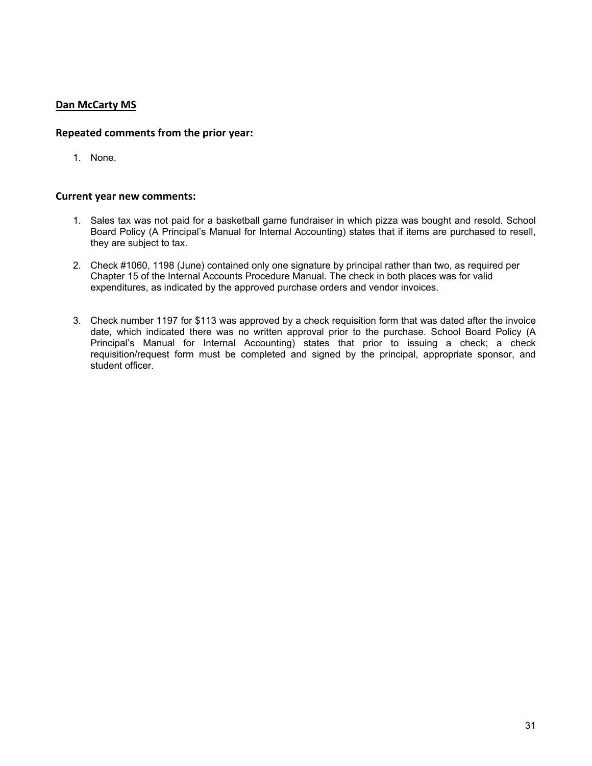# **Dan McCarty MS**

# **Repeated comments from the prior year:**

1. None.

- 1. Sales tax was not paid for a basketball game fundraiser in which pizza was bought and resold. School Board Policy (A Principal's Manual for Internal Accounting) states that if items are purchased to resell, they are subject to tax.
- 2. Check #1060, 1198 (June) contained only one signature by principal rather than two, as required per Chapter 15 of the Internal Accounts Procedure Manual. The check in both places was for valid expenditures, as indicated by the approved purchase orders and vendor invoices.
- 3. Check number 1197 for \$113 was approved by a check requisition form that was dated after the invoice date, which indicated there was no written approval prior to the purchase. School Board Policy (A Principal's Manual for Internal Accounting) states that prior to issuing a check; a check requisition/request form must be completed and signed by the principal, appropriate sponsor, and student officer.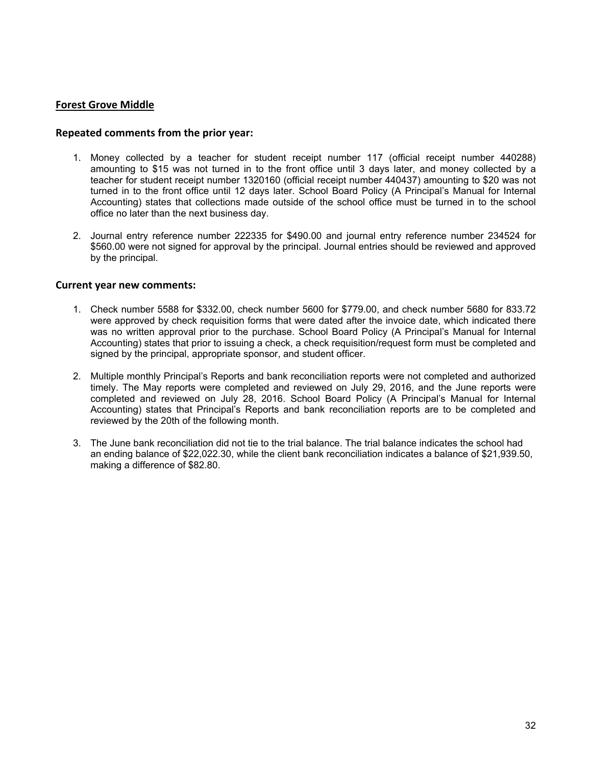### **Forest Grove Middle**

#### **Repeated comments from the prior year:**

- 1. Money collected by a teacher for student receipt number 117 (official receipt number 440288) amounting to \$15 was not turned in to the front office until 3 days later, and money collected by a teacher for student receipt number 1320160 (official receipt number 440437) amounting to \$20 was not turned in to the front office until 12 days later. School Board Policy (A Principal's Manual for Internal Accounting) states that collections made outside of the school office must be turned in to the school office no later than the next business day.
- 2. Journal entry reference number 222335 for \$490.00 and journal entry reference number 234524 for \$560.00 were not signed for approval by the principal. Journal entries should be reviewed and approved by the principal.

- 1. Check number 5588 for \$332.00, check number 5600 for \$779.00, and check number 5680 for 833.72 were approved by check requisition forms that were dated after the invoice date, which indicated there was no written approval prior to the purchase. School Board Policy (A Principal's Manual for Internal Accounting) states that prior to issuing a check, a check requisition/request form must be completed and signed by the principal, appropriate sponsor, and student officer.
- 2. Multiple monthly Principal's Reports and bank reconciliation reports were not completed and authorized timely. The May reports were completed and reviewed on July 29, 2016, and the June reports were completed and reviewed on July 28, 2016. School Board Policy (A Principal's Manual for Internal Accounting) states that Principal's Reports and bank reconciliation reports are to be completed and reviewed by the 20th of the following month.
- 3. The June bank reconciliation did not tie to the trial balance. The trial balance indicates the school had an ending balance of \$22,022.30, while the client bank reconciliation indicates a balance of \$21,939.50, making a difference of \$82.80.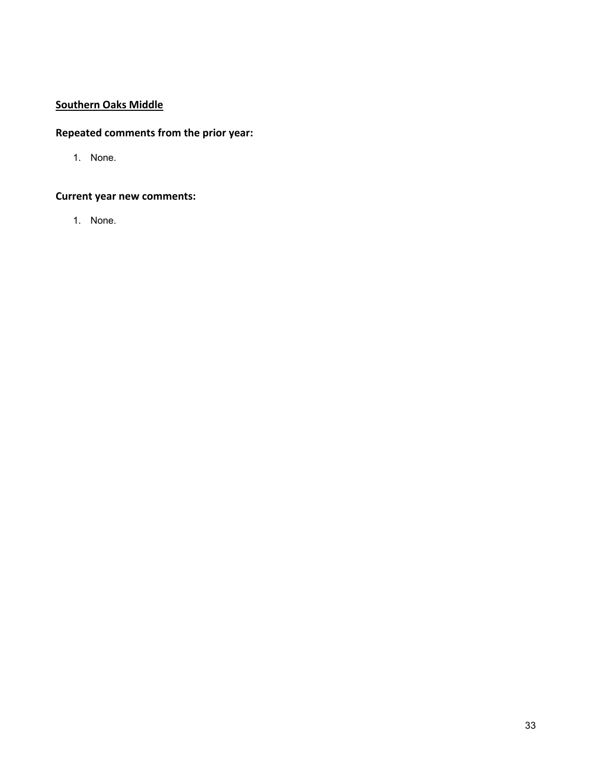# **Southern Oaks Middle**

# **Repeated comments from the prior year:**

1. None.

# **Current year new comments:**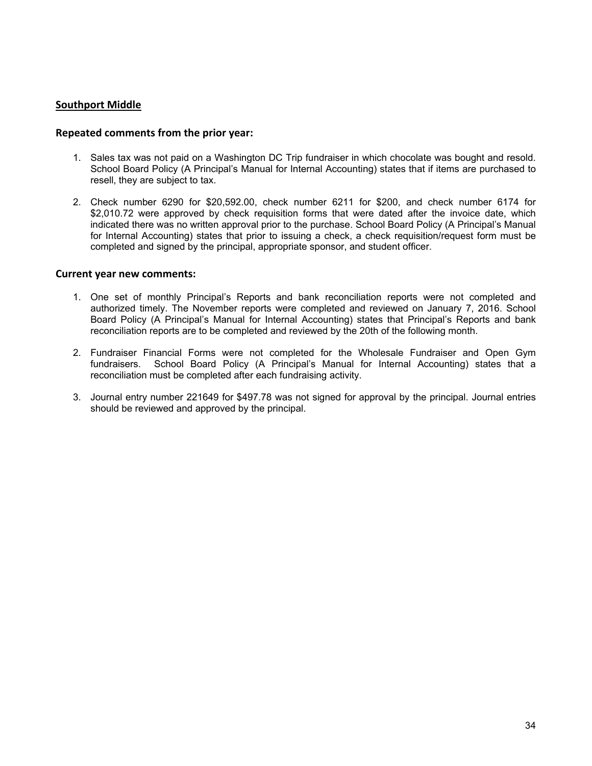### **Southport Middle**

#### **Repeated comments from the prior year:**

- 1. Sales tax was not paid on a Washington DC Trip fundraiser in which chocolate was bought and resold. School Board Policy (A Principal's Manual for Internal Accounting) states that if items are purchased to resell, they are subject to tax.
- 2. Check number 6290 for \$20,592.00, check number 6211 for \$200, and check number 6174 for \$2,010.72 were approved by check requisition forms that were dated after the invoice date, which indicated there was no written approval prior to the purchase. School Board Policy (A Principal's Manual for Internal Accounting) states that prior to issuing a check, a check requisition/request form must be completed and signed by the principal, appropriate sponsor, and student officer.

- 1. One set of monthly Principal's Reports and bank reconciliation reports were not completed and authorized timely. The November reports were completed and reviewed on January 7, 2016. School Board Policy (A Principal's Manual for Internal Accounting) states that Principal's Reports and bank reconciliation reports are to be completed and reviewed by the 20th of the following month.
- 2. Fundraiser Financial Forms were not completed for the Wholesale Fundraiser and Open Gym fundraisers. School Board Policy (A Principal's Manual for Internal Accounting) states that a reconciliation must be completed after each fundraising activity.
- 3. Journal entry number 221649 for \$497.78 was not signed for approval by the principal. Journal entries should be reviewed and approved by the principal.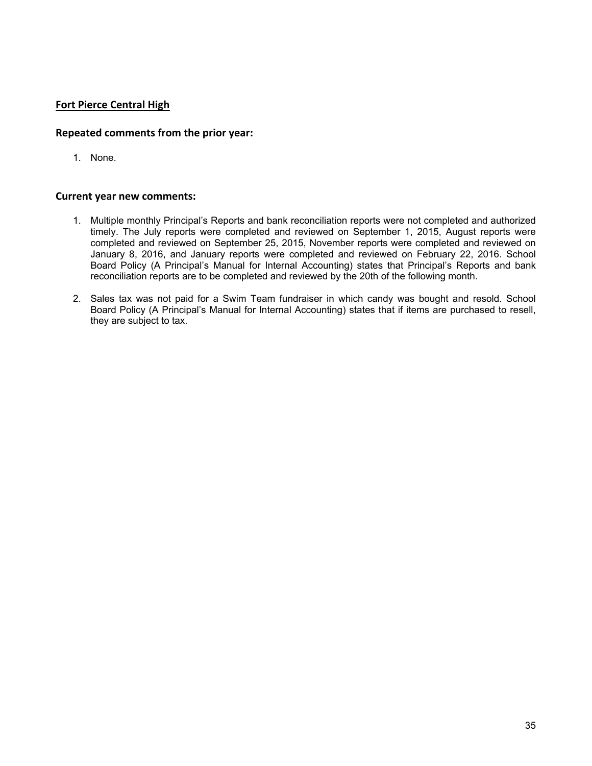# **Fort Pierce Central High**

### **Repeated comments from the prior year:**

1. None.

- 1. Multiple monthly Principal's Reports and bank reconciliation reports were not completed and authorized timely. The July reports were completed and reviewed on September 1, 2015, August reports were completed and reviewed on September 25, 2015, November reports were completed and reviewed on January 8, 2016, and January reports were completed and reviewed on February 22, 2016. School Board Policy (A Principal's Manual for Internal Accounting) states that Principal's Reports and bank reconciliation reports are to be completed and reviewed by the 20th of the following month.
- 2. Sales tax was not paid for a Swim Team fundraiser in which candy was bought and resold. School Board Policy (A Principal's Manual for Internal Accounting) states that if items are purchased to resell, they are subject to tax.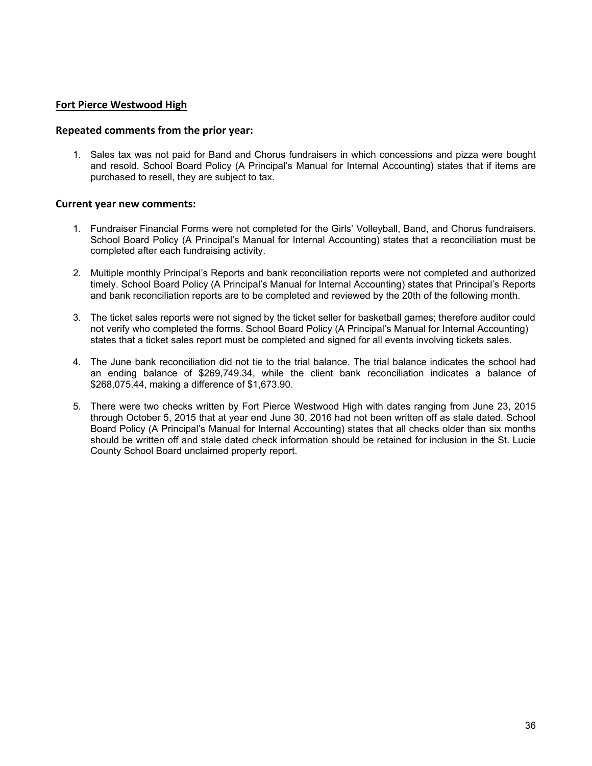### **Fort Pierce Westwood High**

#### **Repeated comments from the prior year:**

1. Sales tax was not paid for Band and Chorus fundraisers in which concessions and pizza were bought and resold. School Board Policy (A Principal's Manual for Internal Accounting) states that if items are purchased to resell, they are subject to tax.

- 1. Fundraiser Financial Forms were not completed for the Girls' Volleyball, Band, and Chorus fundraisers. School Board Policy (A Principal's Manual for Internal Accounting) states that a reconciliation must be completed after each fundraising activity.
- 2. Multiple monthly Principal's Reports and bank reconciliation reports were not completed and authorized timely. School Board Policy (A Principal's Manual for Internal Accounting) states that Principal's Reports and bank reconciliation reports are to be completed and reviewed by the 20th of the following month.
- 3. The ticket sales reports were not signed by the ticket seller for basketball games; therefore auditor could not verify who completed the forms. School Board Policy (A Principal's Manual for Internal Accounting) states that a ticket sales report must be completed and signed for all events involving tickets sales.
- 4. The June bank reconciliation did not tie to the trial balance. The trial balance indicates the school had an ending balance of \$269,749.34, while the client bank reconciliation indicates a balance of \$268,075.44, making a difference of \$1,673.90.
- 5. There were two checks written by Fort Pierce Westwood High with dates ranging from June 23, 2015 through October 5, 2015 that at year end June 30, 2016 had not been written off as stale dated. School Board Policy (A Principal's Manual for Internal Accounting) states that all checks older than six months should be written off and stale dated check information should be retained for inclusion in the St. Lucie County School Board unclaimed property report.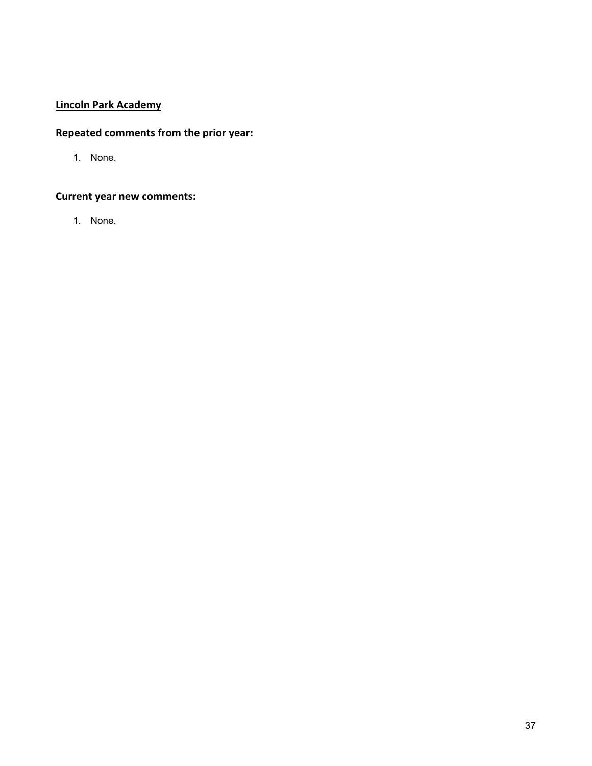# **Lincoln Park Academy**

# **Repeated comments from the prior year:**

1. None.

# **Current year new comments:**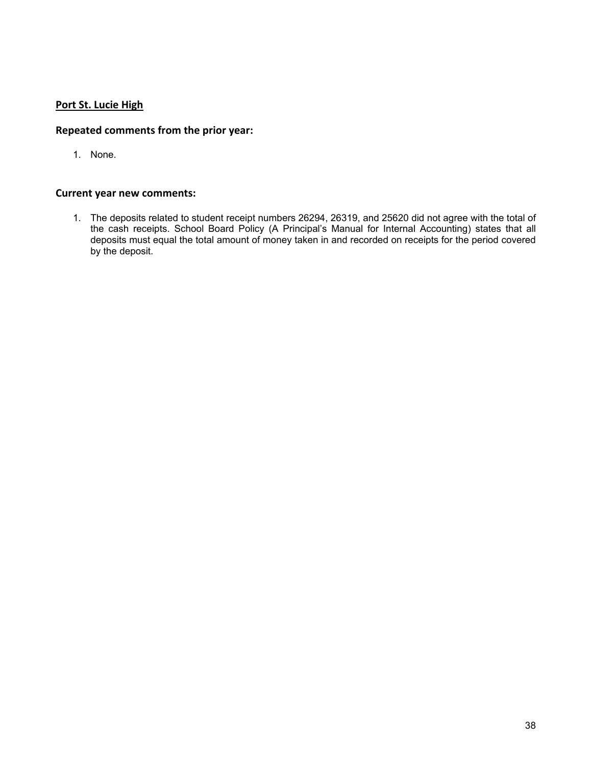# **Port St. Lucie High**

# **Repeated comments from the prior year:**

1. None.

# **Current year new comments:**

1. The deposits related to student receipt numbers 26294, 26319, and 25620 did not agree with the total of the cash receipts. School Board Policy (A Principal's Manual for Internal Accounting) states that all deposits must equal the total amount of money taken in and recorded on receipts for the period covered by the deposit.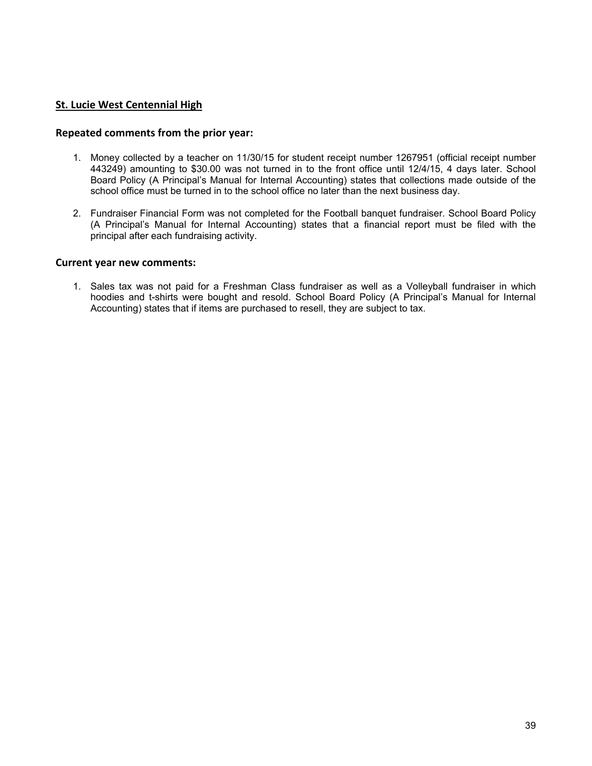### **St. Lucie West Centennial High**

#### **Repeated comments from the prior year:**

- 1. Money collected by a teacher on 11/30/15 for student receipt number 1267951 (official receipt number 443249) amounting to \$30.00 was not turned in to the front office until 12/4/15, 4 days later. School Board Policy (A Principal's Manual for Internal Accounting) states that collections made outside of the school office must be turned in to the school office no later than the next business day.
- 2. Fundraiser Financial Form was not completed for the Football banquet fundraiser. School Board Policy (A Principal's Manual for Internal Accounting) states that a financial report must be filed with the principal after each fundraising activity.

#### **Current year new comments:**

1. Sales tax was not paid for a Freshman Class fundraiser as well as a Volleyball fundraiser in which hoodies and t-shirts were bought and resold. School Board Policy (A Principal's Manual for Internal Accounting) states that if items are purchased to resell, they are subject to tax.